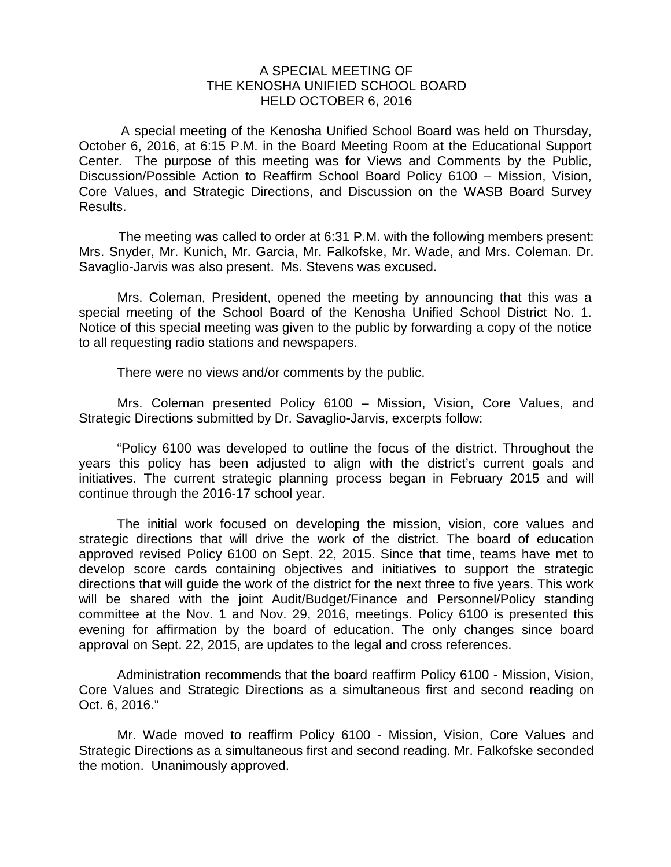## A SPECIAL MEETING OF THE KENOSHA UNIFIED SCHOOL BOARD HELD OCTOBER 6, 2016

A special meeting of the Kenosha Unified School Board was held on Thursday, October 6, 2016, at 6:15 P.M. in the Board Meeting Room at the Educational Support Center. The purpose of this meeting was for Views and Comments by the Public, Discussion/Possible Action to Reaffirm School Board Policy 6100 – Mission, Vision, Core Values, and Strategic Directions, and Discussion on the WASB Board Survey Results.

The meeting was called to order at 6:31 P.M. with the following members present: Mrs. Snyder, Mr. Kunich, Mr. Garcia, Mr. Falkofske, Mr. Wade, and Mrs. Coleman. Dr. Savaglio-Jarvis was also present. Ms. Stevens was excused.

Mrs. Coleman, President, opened the meeting by announcing that this was a special meeting of the School Board of the Kenosha Unified School District No. 1. Notice of this special meeting was given to the public by forwarding a copy of the notice to all requesting radio stations and newspapers.

There were no views and/or comments by the public.

Mrs. Coleman presented Policy 6100 – Mission, Vision, Core Values, and Strategic Directions submitted by Dr. Savaglio-Jarvis, excerpts follow:

"Policy 6100 was developed to outline the focus of the district. Throughout the years this policy has been adjusted to align with the district's current goals and initiatives. The current strategic planning process began in February 2015 and will continue through the 2016-17 school year.

The initial work focused on developing the mission, vision, core values and strategic directions that will drive the work of the district. The board of education approved revised Policy 6100 on Sept. 22, 2015. Since that time, teams have met to develop score cards containing objectives and initiatives to support the strategic directions that will guide the work of the district for the next three to five years. This work will be shared with the joint Audit/Budget/Finance and Personnel/Policy standing committee at the Nov. 1 and Nov. 29, 2016, meetings. Policy 6100 is presented this evening for affirmation by the board of education. The only changes since board approval on Sept. 22, 2015, are updates to the legal and cross references.

Administration recommends that the board reaffirm Policy 6100 - Mission, Vision, Core Values and Strategic Directions as a simultaneous first and second reading on Oct. 6, 2016."

Mr. Wade moved to reaffirm Policy 6100 - Mission, Vision, Core Values and Strategic Directions as a simultaneous first and second reading. Mr. Falkofske seconded the motion. Unanimously approved.